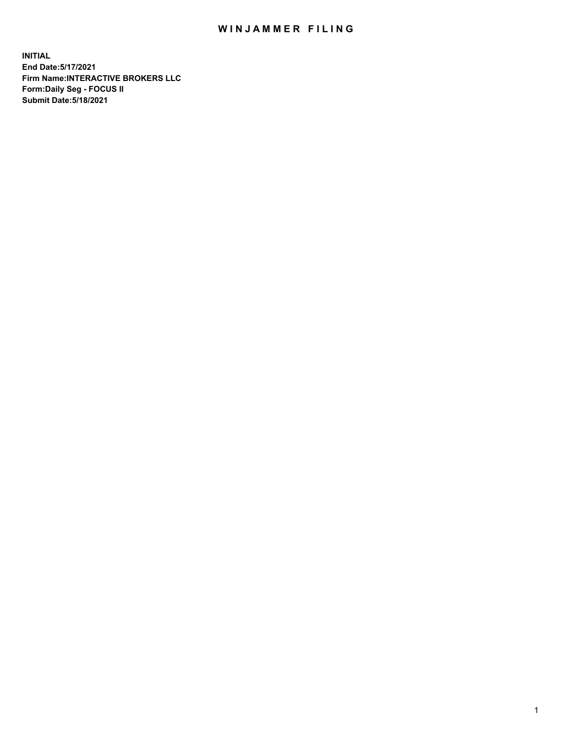## WIN JAMMER FILING

**INITIAL End Date:5/17/2021 Firm Name:INTERACTIVE BROKERS LLC Form:Daily Seg - FOCUS II Submit Date:5/18/2021**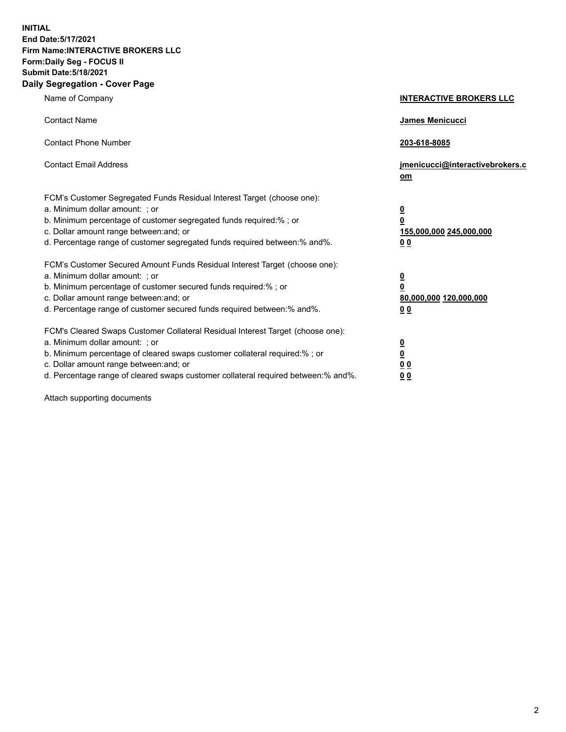**INITIAL End Date:5/17/2021 Firm Name:INTERACTIVE BROKERS LLC Form:Daily Seg - FOCUS II Submit Date:5/18/2021 Daily Segregation - Cover Page**

| Name of Company                                                                                                                                                                                                                                                                                                                | <b>INTERACTIVE BROKERS LLC</b>                                                   |
|--------------------------------------------------------------------------------------------------------------------------------------------------------------------------------------------------------------------------------------------------------------------------------------------------------------------------------|----------------------------------------------------------------------------------|
| <b>Contact Name</b>                                                                                                                                                                                                                                                                                                            | James Menicucci                                                                  |
| <b>Contact Phone Number</b>                                                                                                                                                                                                                                                                                                    | 203-618-8085                                                                     |
| <b>Contact Email Address</b>                                                                                                                                                                                                                                                                                                   | jmenicucci@interactivebrokers.c<br>om                                            |
| FCM's Customer Segregated Funds Residual Interest Target (choose one):<br>a. Minimum dollar amount: ; or<br>b. Minimum percentage of customer segregated funds required:% ; or<br>c. Dollar amount range between: and; or<br>d. Percentage range of customer segregated funds required between:% and%.                         | <u>0</u><br>$\overline{\mathbf{0}}$<br>155,000,000 245,000,000<br>0 <sub>0</sub> |
| FCM's Customer Secured Amount Funds Residual Interest Target (choose one):<br>a. Minimum dollar amount: ; or<br>b. Minimum percentage of customer secured funds required:% ; or<br>c. Dollar amount range between: and; or<br>d. Percentage range of customer secured funds required between:% and%.                           | <u>0</u><br>$\overline{\mathbf{0}}$<br>80,000,000 120,000,000<br>0 <sub>0</sub>  |
| FCM's Cleared Swaps Customer Collateral Residual Interest Target (choose one):<br>a. Minimum dollar amount: ; or<br>b. Minimum percentage of cleared swaps customer collateral required:% ; or<br>c. Dollar amount range between: and; or<br>d. Percentage range of cleared swaps customer collateral required between:% and%. | <u>0</u><br>$\underline{\mathbf{0}}$<br>0 <sub>0</sub><br>0 <sub>0</sub>         |

Attach supporting documents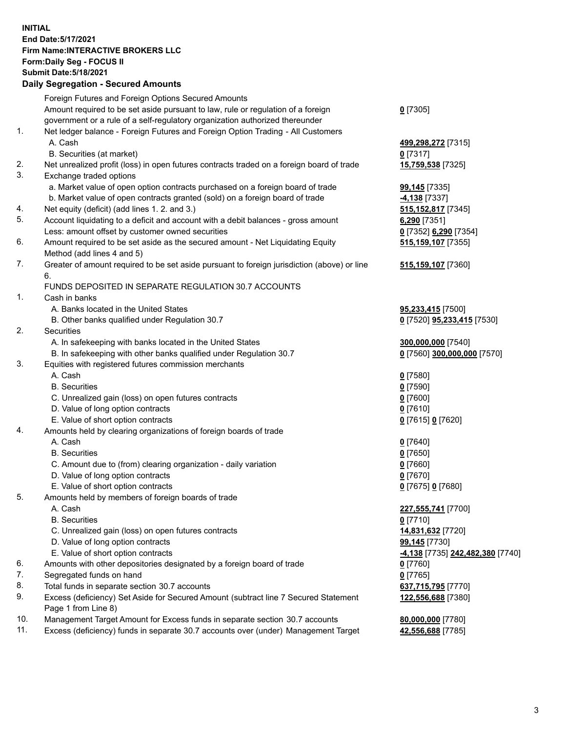## **INITIAL End Date:5/17/2021 Firm Name:INTERACTIVE BROKERS LLC Form:Daily Seg - FOCUS II Submit Date:5/18/2021 Daily Segregation - Secured Amounts**

|     | Daily Segregation - Secured Amounts                                                         |                                               |
|-----|---------------------------------------------------------------------------------------------|-----------------------------------------------|
|     | Foreign Futures and Foreign Options Secured Amounts                                         |                                               |
|     | Amount required to be set aside pursuant to law, rule or regulation of a foreign            | $0$ [7305]                                    |
|     | government or a rule of a self-regulatory organization authorized thereunder                |                                               |
| 1.  | Net ledger balance - Foreign Futures and Foreign Option Trading - All Customers             |                                               |
|     | A. Cash                                                                                     | 499,298,272 [7315]                            |
|     | B. Securities (at market)                                                                   | $0$ [7317]                                    |
| 2.  | Net unrealized profit (loss) in open futures contracts traded on a foreign board of trade   | 15,759,538 [7325]                             |
| 3.  | Exchange traded options                                                                     |                                               |
|     | a. Market value of open option contracts purchased on a foreign board of trade              | <b>99,145</b> [7335]                          |
|     | b. Market value of open contracts granted (sold) on a foreign board of trade                | $-4,138$ [7337]                               |
| 4.  | Net equity (deficit) (add lines 1. 2. and 3.)                                               | 515, 152, 817 [7345]                          |
| 5.  | Account liquidating to a deficit and account with a debit balances - gross amount           | 6,290 [7351]                                  |
|     | Less: amount offset by customer owned securities                                            | 0 [7352] 6,290 [7354]                         |
| 6.  | Amount required to be set aside as the secured amount - Net Liquidating Equity              | 515,159,107 [7355]                            |
|     | Method (add lines 4 and 5)                                                                  |                                               |
| 7.  | Greater of amount required to be set aside pursuant to foreign jurisdiction (above) or line | 515,159,107 [7360]                            |
|     | 6.                                                                                          |                                               |
|     | FUNDS DEPOSITED IN SEPARATE REGULATION 30.7 ACCOUNTS                                        |                                               |
| 1.  | Cash in banks                                                                               |                                               |
|     | A. Banks located in the United States                                                       | 95,233,415 [7500]                             |
|     | B. Other banks qualified under Regulation 30.7                                              | 0 [7520] 95,233,415 [7530]                    |
| 2.  | <b>Securities</b>                                                                           |                                               |
|     | A. In safekeeping with banks located in the United States                                   | 300,000,000 [7540]                            |
|     | B. In safekeeping with other banks qualified under Regulation 30.7                          | 0 [7560] 300,000,000 [7570]                   |
| 3.  | Equities with registered futures commission merchants                                       |                                               |
|     | A. Cash                                                                                     | $0$ [7580]                                    |
|     | <b>B.</b> Securities                                                                        | $0$ [7590]                                    |
|     | C. Unrealized gain (loss) on open futures contracts                                         | $0$ [7600]                                    |
|     | D. Value of long option contracts                                                           | $0$ [7610]                                    |
|     | E. Value of short option contracts                                                          | 0 [7615] 0 [7620]                             |
| 4.  | Amounts held by clearing organizations of foreign boards of trade                           |                                               |
|     | A. Cash                                                                                     | $0$ [7640]                                    |
|     | <b>B.</b> Securities                                                                        | $0$ [7650]                                    |
|     | C. Amount due to (from) clearing organization - daily variation                             | $0$ [7660]                                    |
|     | D. Value of long option contracts                                                           | $0$ [7670]                                    |
|     | E. Value of short option contracts                                                          | 0 [7675] 0 [7680]                             |
| 5.  | Amounts held by members of foreign boards of trade                                          |                                               |
|     | A. Cash                                                                                     | 227,555,741 [7700]                            |
|     | <b>B.</b> Securities                                                                        | $0$ [7710]                                    |
|     | C. Unrealized gain (loss) on open futures contracts                                         | 14,831,632 [7720]                             |
|     | D. Value of long option contracts                                                           | 99,145 [7730]                                 |
|     | E. Value of short option contracts                                                          | <mark>-4,138</mark> [7735] 242,482,380 [7740] |
| 6.  | Amounts with other depositories designated by a foreign board of trade                      | $0$ [7760]                                    |
| 7.  | Segregated funds on hand                                                                    | $0$ [7765]                                    |
| 8.  | Total funds in separate section 30.7 accounts                                               | 637,715,795 [7770]                            |
| 9.  | Excess (deficiency) Set Aside for Secured Amount (subtract line 7 Secured Statement         | 122,556,688 [7380]                            |
|     | Page 1 from Line 8)                                                                         |                                               |
| 10. | Management Target Amount for Excess funds in separate section 30.7 accounts                 | 80,000,000 [7780]                             |
| 11. | Excess (deficiency) funds in separate 30.7 accounts over (under) Management Target          | 42,556,688 [7785]                             |
|     |                                                                                             |                                               |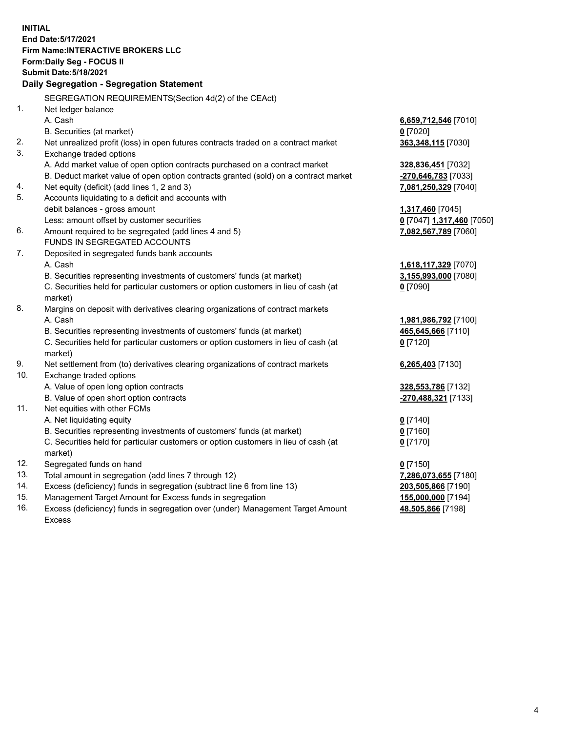**INITIAL End Date:5/17/2021 Firm Name:INTERACTIVE BROKERS LLC Form:Daily Seg - FOCUS II Submit Date:5/18/2021 Daily Segregation - Segregation Statement** SEGREGATION REQUIREMENTS(Section 4d(2) of the CEAct) 1. Net ledger balance A. Cash **6,659,712,546** [7010] B. Securities (at market) **0** [7020] 2. Net unrealized profit (loss) in open futures contracts traded on a contract market **363,348,115** [7030] 3. Exchange traded options A. Add market value of open option contracts purchased on a contract market **328,836,451** [7032] B. Deduct market value of open option contracts granted (sold) on a contract market **-270,646,783** [7033] 4. Net equity (deficit) (add lines 1, 2 and 3) **7,081,250,329** [7040] 5. Accounts liquidating to a deficit and accounts with debit balances - gross amount **1,317,460** [7045] Less: amount offset by customer securities **0** [7047] **1,317,460** [7050] 6. Amount required to be segregated (add lines 4 and 5) **7,082,567,789** [7060] FUNDS IN SEGREGATED ACCOUNTS 7. Deposited in segregated funds bank accounts A. Cash **1,618,117,329** [7070] B. Securities representing investments of customers' funds (at market) **3,155,993,000** [7080] C. Securities held for particular customers or option customers in lieu of cash (at market) **0** [7090] 8. Margins on deposit with derivatives clearing organizations of contract markets A. Cash **1,981,986,792** [7100] B. Securities representing investments of customers' funds (at market) **465,645,666** [7110] C. Securities held for particular customers or option customers in lieu of cash (at market) **0** [7120] 9. Net settlement from (to) derivatives clearing organizations of contract markets **6,265,403** [7130] 10. Exchange traded options A. Value of open long option contracts **328,553,786** [7132] B. Value of open short option contracts **-270,488,321** [7133] 11. Net equities with other FCMs A. Net liquidating equity **0** [7140] B. Securities representing investments of customers' funds (at market) **0** [7160] C. Securities held for particular customers or option customers in lieu of cash (at market) **0** [7170] 12. Segregated funds on hand **0** [7150] 13. Total amount in segregation (add lines 7 through 12) **7,286,073,655** [7180] 14. Excess (deficiency) funds in segregation (subtract line 6 from line 13) **203,505,866** [7190] 15. Management Target Amount for Excess funds in segregation **155,000,000** [7194]

16. Excess (deficiency) funds in segregation over (under) Management Target Amount Excess

**48,505,866** [7198]